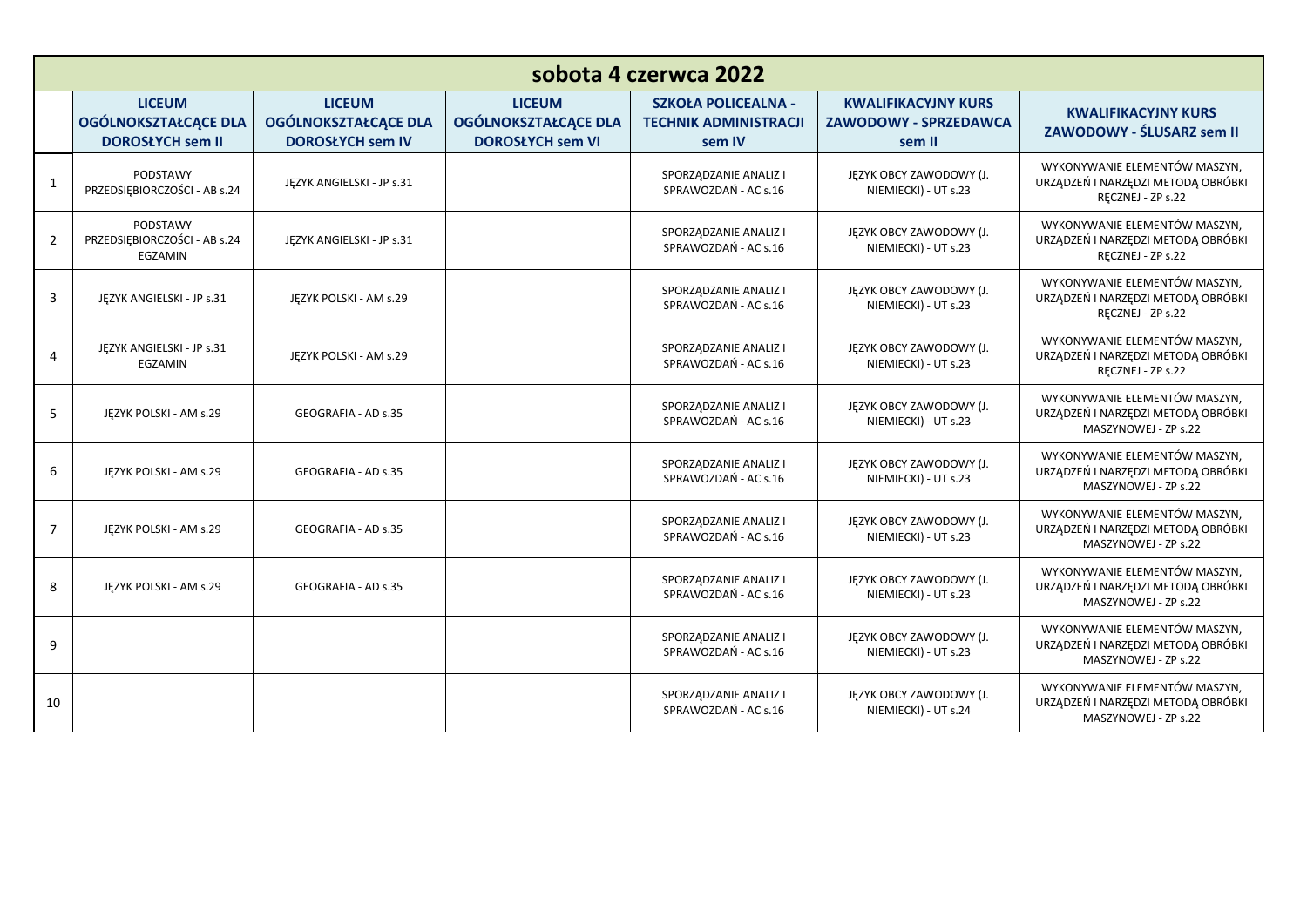| sobota 4 czerwca 2022 |                                                                         |                                                                         |                                                                         |                                                                      |                                                               |                                                                                             |
|-----------------------|-------------------------------------------------------------------------|-------------------------------------------------------------------------|-------------------------------------------------------------------------|----------------------------------------------------------------------|---------------------------------------------------------------|---------------------------------------------------------------------------------------------|
|                       | <b>LICEUM</b><br><b>OGÓLNOKSZTAŁCĄCE DLA</b><br><b>DOROSŁYCH sem II</b> | <b>LICEUM</b><br><b>OGÓLNOKSZTAŁCĄCE DLA</b><br><b>DOROSŁYCH sem IV</b> | <b>LICEUM</b><br><b>OGÓLNOKSZTAŁCĄCE DLA</b><br><b>DOROSŁYCH sem VI</b> | <b>SZKOŁA POLICEALNA -</b><br><b>TECHNIK ADMINISTRACJI</b><br>sem IV | <b>KWALIFIKACYJNY KURS</b><br>ZAWODOWY - SPRZEDAWCA<br>sem II | <b>KWALIFIKACYJNY KURS</b><br>ZAWODOWY - ŚLUSARZ sem II                                     |
| $\mathbf{1}$          | PODSTAWY<br>PRZEDSIĘBIORCZOŚCI - AB s.24                                | JĘZYK ANGIELSKI - JP s.31                                               |                                                                         | SPORZĄDZANIE ANALIZ I<br>SPRAWOZDAŃ - AC s.16                        | JĘZYK OBCY ZAWODOWY (J.<br>NIEMIECKI) - UT s.23               | WYKONYWANIE ELEMENTÓW MASZYN,<br>URZĄDZEŃ I NARZĘDZI METODĄ OBRÓBKI<br>RECZNEJ - ZP s.22    |
| 2                     | <b>PODSTAWY</b><br>PRZEDSIEBIORCZOŚCI - AB s.24<br>EGZAMIN              | JEZYK ANGIELSKI - JP s.31                                               |                                                                         | SPORZĄDZANIE ANALIZ I<br>SPRAWOZDAŃ - AC s.16                        | JĘZYK OBCY ZAWODOWY (J.<br>NIEMIECKI) - UT s.23               | WYKONYWANIE ELEMENTÓW MASZYN,<br>URZĄDZEŃ I NARZĘDZI METODĄ OBRÓBKI<br>RECZNEJ - ZP s.22    |
| 3                     | JĘZYK ANGIELSKI - JP s.31                                               | JĘZYK POLSKI - AM s.29                                                  |                                                                         | SPORZĄDZANIE ANALIZ I<br>SPRAWOZDAŃ - AC s.16                        | JĘZYK OBCY ZAWODOWY (J.<br>NIEMIECKI) - UT s.23               | WYKONYWANIE ELEMENTÓW MASZYN,<br>URZĄDZEŃ I NARZĘDZI METODĄ OBRÓBKI<br>RECZNEJ - ZP s.22    |
| $\overline{4}$        | JEZYK ANGIELSKI - JP s.31<br>EGZAMIN                                    | JEZYK POLSKI - AM s.29                                                  |                                                                         | SPORZĄDZANIE ANALIZ I<br>SPRAWOZDAŃ - AC s.16                        | JĘZYK OBCY ZAWODOWY (J.<br>NIEMIECKI) - UT s.23               | WYKONYWANIE ELEMENTÓW MASZYN.<br>URZĄDZEŃ I NARZĘDZI METODĄ OBRÓBKI<br>RĘCZNEJ - ZP s.22    |
| 5                     | JĘZYK POLSKI - AM s.29                                                  | GEOGRAFIA - AD s.35                                                     |                                                                         | SPORZĄDZANIE ANALIZ I<br>SPRAWOZDAŃ - AC s.16                        | JĘZYK OBCY ZAWODOWY (J.<br>NIEMIECKI) - UT s.23               | WYKONYWANIE ELEMENTÓW MASZYN.<br>URZĄDZEŃ I NARZĘDZI METODĄ OBRÓBKI<br>MASZYNOWEJ - ZP s.22 |
| 6                     | JĘZYK POLSKI - AM s.29                                                  | GEOGRAFIA - AD s.35                                                     |                                                                         | SPORZĄDZANIE ANALIZ I<br>SPRAWOZDAŃ - AC s.16                        | JĘZYK OBCY ZAWODOWY (J.<br>NIEMIECKI) - UT s.23               | WYKONYWANIE ELEMENTÓW MASZYN,<br>URZĄDZEŃ I NARZĘDZI METODĄ OBRÓBKI<br>MASZYNOWEJ - ZP s.22 |
| $\overline{7}$        | JĘZYK POLSKI - AM s.29                                                  | GEOGRAFIA - AD s.35                                                     |                                                                         | SPORZĄDZANIE ANALIZ I<br>SPRAWOZDAŃ - AC s.16                        | JĘZYK OBCY ZAWODOWY (J.<br>NIEMIECKI) - UT s.23               | WYKONYWANIE ELEMENTÓW MASZYN,<br>URZĄDZEŃ I NARZĘDZI METODĄ OBRÓBKI<br>MASZYNOWEJ - ZP s.22 |
| 8                     | JĘZYK POLSKI - AM s.29                                                  | GEOGRAFIA - AD s.35                                                     |                                                                         | SPORZĄDZANIE ANALIZ I<br>SPRAWOZDAŃ - AC s.16                        | JĘZYK OBCY ZAWODOWY (J.<br>NIEMIECKI) - UT s.23               | WYKONYWANIE ELEMENTÓW MASZYN,<br>URZĄDZEŃ I NARZĘDZI METODĄ OBRÓBKI<br>MASZYNOWEJ - ZP s.22 |
| 9                     |                                                                         |                                                                         |                                                                         | SPORZĄDZANIE ANALIZ I<br>SPRAWOZDAŃ - AC s.16                        | JĘZYK OBCY ZAWODOWY (J.<br>NIEMIECKI) - UT s.23               | WYKONYWANIE ELEMENTÓW MASZYN,<br>URZĄDZEŃ I NARZĘDZI METODĄ OBRÓBKI<br>MASZYNOWEJ - ZP s.22 |
| 10                    |                                                                         |                                                                         |                                                                         | SPORZĄDZANIE ANALIZ I<br>SPRAWOZDAŃ - AC s.16                        | JĘZYK OBCY ZAWODOWY (J.<br>NIEMIECKI) - UT s.24               | WYKONYWANIE ELEMENTÓW MASZYN.<br>URZĄDZEŃ I NARZĘDZI METODĄ OBRÓBKI<br>MASZYNOWEJ - ZP s.22 |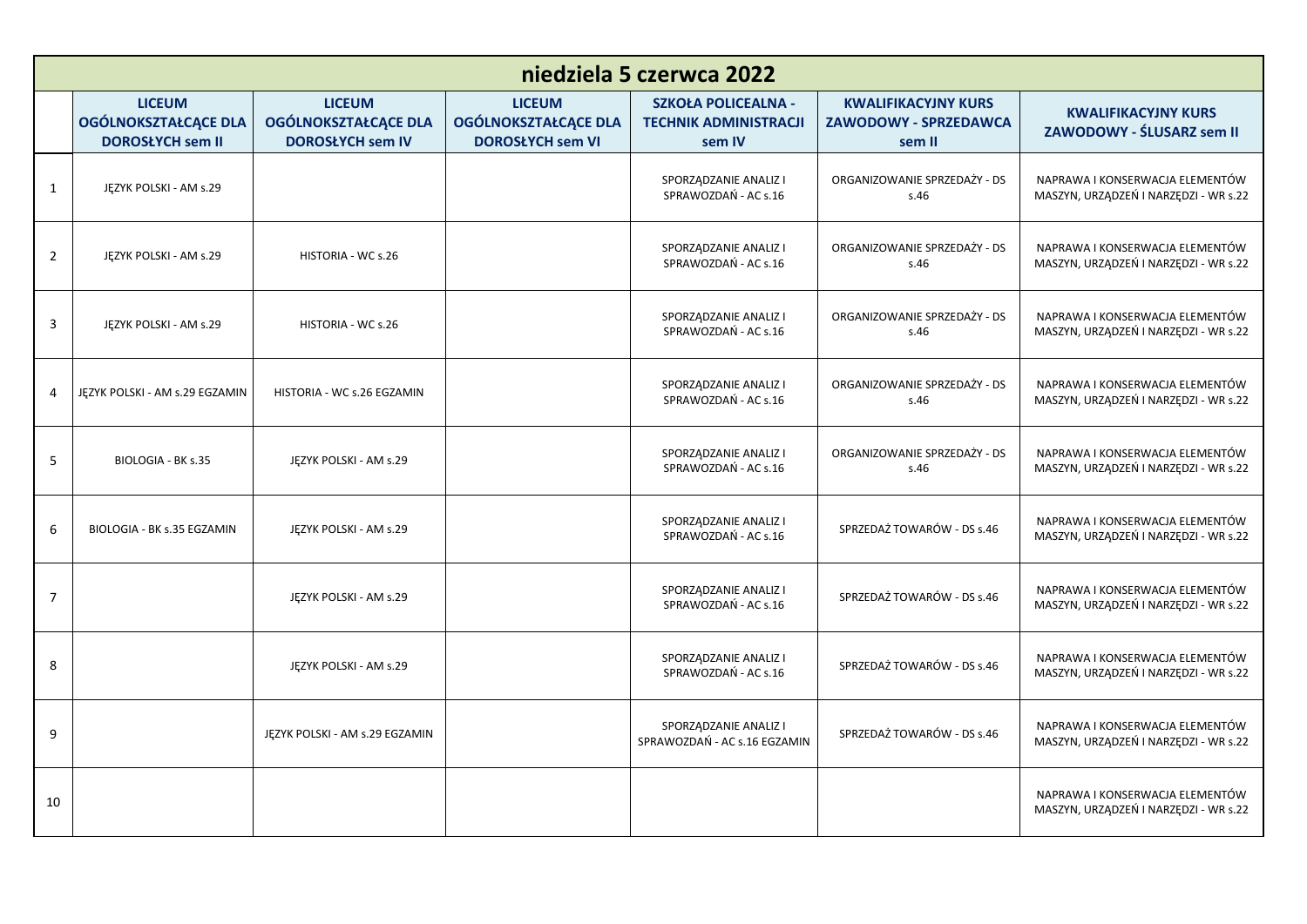| niedziela 5 czerwca 2022 |                                                                         |                                                                         |                                                                         |                                                                      |                                                                      |                                                                          |
|--------------------------|-------------------------------------------------------------------------|-------------------------------------------------------------------------|-------------------------------------------------------------------------|----------------------------------------------------------------------|----------------------------------------------------------------------|--------------------------------------------------------------------------|
|                          | <b>LICEUM</b><br><b>OGÓLNOKSZTAŁCĄCE DLA</b><br><b>DOROSŁYCH sem II</b> | <b>LICEUM</b><br><b>OGÓLNOKSZTAŁCĄCE DLA</b><br><b>DOROSŁYCH sem IV</b> | <b>LICEUM</b><br><b>OGÓLNOKSZTAŁCĄCE DLA</b><br><b>DOROSŁYCH sem VI</b> | <b>SZKOŁA POLICEALNA -</b><br><b>TECHNIK ADMINISTRACJI</b><br>sem IV | <b>KWALIFIKACYJNY KURS</b><br><b>ZAWODOWY - SPRZEDAWCA</b><br>sem II | <b>KWALIFIKACYJNY KURS</b><br>ZAWODOWY - ŚLUSARZ sem II                  |
| $\mathbf{1}$             | JĘZYK POLSKI - AM s.29                                                  |                                                                         |                                                                         | SPORZĄDZANIE ANALIZ I<br>SPRAWOZDAŃ - AC s.16                        | ORGANIZOWANIE SPRZEDAŻY - DS<br>s.46                                 | NAPRAWA I KONSERWACJA ELEMENTÓW<br>MASZYN, URZĄDZEŃ I NARZĘDZI - WR s.22 |
| $\overline{2}$           | JĘZYK POLSKI - AM s.29                                                  | HISTORIA - WC s.26                                                      |                                                                         | SPORZĄDZANIE ANALIZ I<br>SPRAWOZDAŃ - AC s.16                        | ORGANIZOWANIE SPRZEDAŻY - DS<br>s.46                                 | NAPRAWA I KONSERWACJA ELEMENTÓW<br>MASZYN, URZĄDZEŃ I NARZĘDZI - WR s.22 |
| 3                        | JĘZYK POLSKI - AM s.29                                                  | HISTORIA - WC s.26                                                      |                                                                         | SPORZĄDZANIE ANALIZ I<br>SPRAWOZDAŃ - AC s.16                        | ORGANIZOWANIE SPRZEDAŻY - DS<br>s.46                                 | NAPRAWA I KONSERWACJA ELEMENTÓW<br>MASZYN, URZĄDZEŃ I NARZĘDZI - WR s.22 |
| 4                        | JEZYK POLSKI - AM s.29 EGZAMIN                                          | HISTORIA - WC s.26 EGZAMIN                                              |                                                                         | SPORZĄDZANIE ANALIZ I<br>SPRAWOZDAŃ - AC s.16                        | ORGANIZOWANIE SPRZEDAŻY - DS<br>s.46                                 | NAPRAWA I KONSERWACJA ELEMENTÓW<br>MASZYN, URZĄDZEŃ I NARZĘDZI - WR s.22 |
| 5                        | BIOLOGIA - BK s.35                                                      | JĘZYK POLSKI - AM s.29                                                  |                                                                         | SPORZĄDZANIE ANALIZ I<br>SPRAWOZDAŃ - AC s.16                        | ORGANIZOWANIE SPRZEDAŻY - DS<br>s.46                                 | NAPRAWA I KONSERWACJA ELEMENTÓW<br>MASZYN, URZĄDZEŃ I NARZĘDZI - WR s.22 |
| 6                        | BIOLOGIA - BK s.35 EGZAMIN                                              | JĘZYK POLSKI - AM s.29                                                  |                                                                         | SPORZĄDZANIE ANALIZ I<br>SPRAWOZDAŃ - AC s.16                        | SPRZEDAŻ TOWARÓW - DS s.46                                           | NAPRAWA I KONSERWACJA ELEMENTÓW<br>MASZYN, URZĄDZEŃ I NARZĘDZI - WR s.22 |
| $\overline{7}$           |                                                                         | JĘZYK POLSKI - AM s.29                                                  |                                                                         | SPORZĄDZANIE ANALIZ I<br>SPRAWOZDAŃ - AC s.16                        | SPRZEDAŻ TOWARÓW - DS s.46                                           | NAPRAWA I KONSERWACJA ELEMENTÓW<br>MASZYN, URZĄDZEŃ I NARZĘDZI - WR s.22 |
| 8                        |                                                                         | JĘZYK POLSKI - AM s.29                                                  |                                                                         | SPORZĄDZANIE ANALIZ I<br>SPRAWOZDAŃ - AC s.16                        | SPRZEDAŻ TOWARÓW - DS s.46                                           | NAPRAWA I KONSERWACJA ELEMENTÓW<br>MASZYN, URZĄDZEŃ I NARZĘDZI - WR s.22 |
| 9                        |                                                                         | JĘZYK POLSKI - AM s.29 EGZAMIN                                          |                                                                         | SPORZĄDZANIE ANALIZ I<br>SPRAWOZDAŃ - AC s.16 EGZAMIN                | SPRZEDAŻ TOWARÓW - DS s.46                                           | NAPRAWA I KONSERWACJA ELEMENTÓW<br>MASZYN, URZĄDZEŃ I NARZĘDZI - WR s.22 |
| 10                       |                                                                         |                                                                         |                                                                         |                                                                      |                                                                      | NAPRAWA I KONSERWACJA ELEMENTÓW<br>MASZYN, URZĄDZEŃ I NARZĘDZI - WR s.22 |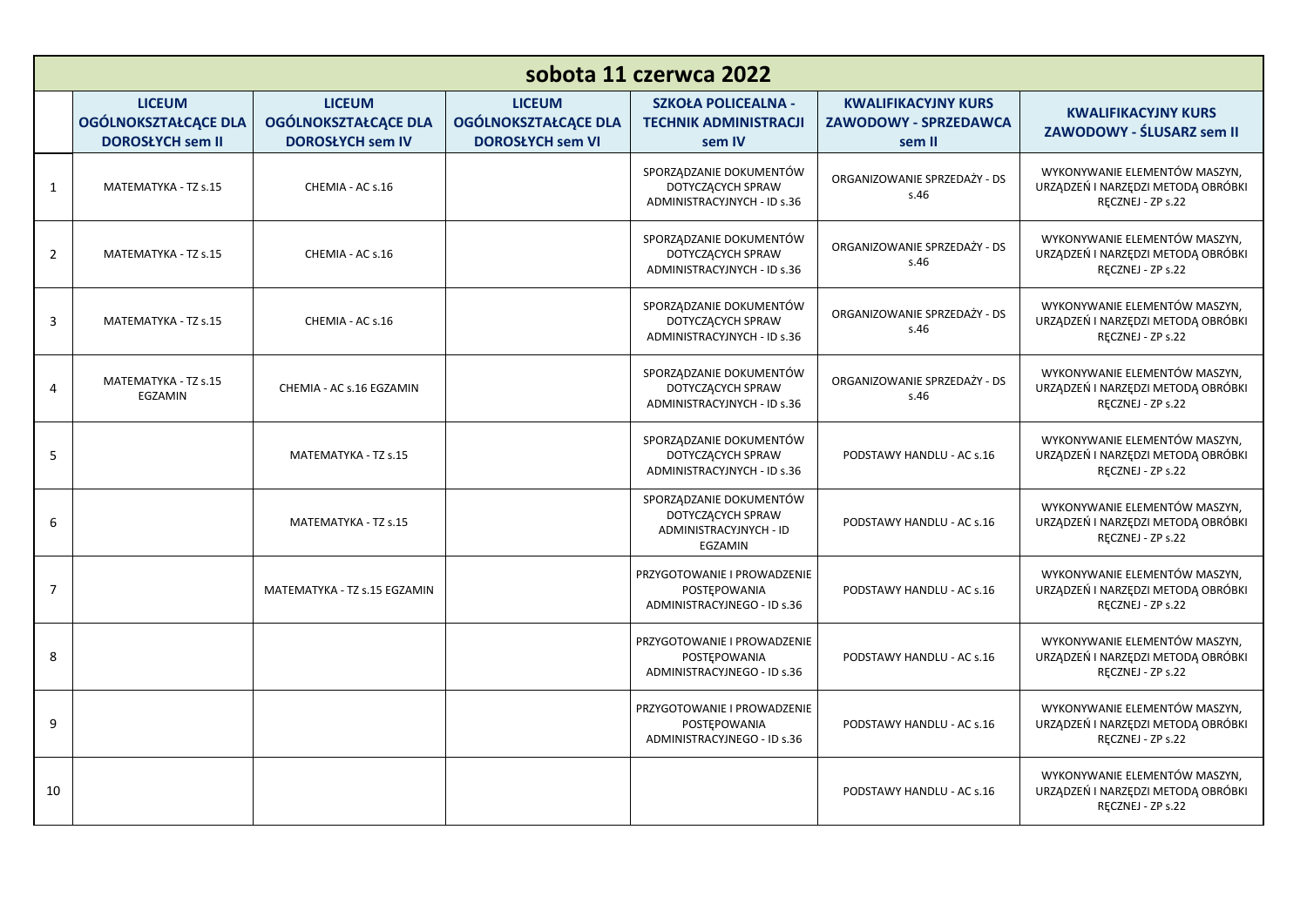| sobota 11 czerwca 2022 |                                                                         |                                                                         |                                                                         |                                                                                   |                                                                      |                                                                                          |
|------------------------|-------------------------------------------------------------------------|-------------------------------------------------------------------------|-------------------------------------------------------------------------|-----------------------------------------------------------------------------------|----------------------------------------------------------------------|------------------------------------------------------------------------------------------|
|                        | <b>LICEUM</b><br><b>OGÓLNOKSZTAŁCĄCE DLA</b><br><b>DOROSŁYCH sem II</b> | <b>LICEUM</b><br><b>OGÓLNOKSZTAŁCĄCE DLA</b><br><b>DOROSŁYCH sem IV</b> | <b>LICEUM</b><br><b>OGÓLNOKSZTAŁCĄCE DLA</b><br><b>DOROSŁYCH sem VI</b> | <b>SZKOŁA POLICEALNA -</b><br><b>TECHNIK ADMINISTRACJI</b><br>sem IV              | <b>KWALIFIKACYJNY KURS</b><br><b>ZAWODOWY - SPRZEDAWCA</b><br>sem II | <b>KWALIFIKACYJNY KURS</b><br>ZAWODOWY - ŚLUSARZ sem II                                  |
| 1                      | MATEMATYKA - TZ s.15                                                    | CHEMIA - AC s.16                                                        |                                                                         | SPORZĄDZANIE DOKUMENTÓW<br>DOTYCZĄCYCH SPRAW<br>ADMINISTRACYJNYCH - ID s.36       | ORGANIZOWANIE SPRZEDAŻY - DS<br>s.46                                 | WYKONYWANIE ELEMENTÓW MASZYN,<br>URZĄDZEŃ I NARZĘDZI METODĄ OBRÓBKI<br>RECZNEJ - ZP s.22 |
| $\overline{2}$         | MATEMATYKA - TZ s.15                                                    | CHEMIA - AC s.16                                                        |                                                                         | SPORZĄDZANIE DOKUMENTÓW<br>DOTYCZĄCYCH SPRAW<br>ADMINISTRACYJNYCH - ID s.36       | ORGANIZOWANIE SPRZEDAŻY - DS<br>s.46                                 | WYKONYWANIE ELEMENTÓW MASZYN,<br>URZĄDZEŃ I NARZĘDZI METODĄ OBRÓBKI<br>RECZNEJ - ZP s.22 |
| 3                      | MATEMATYKA - TZ s.15                                                    | CHEMIA - AC s.16                                                        |                                                                         | SPORZĄDZANIE DOKUMENTÓW<br>DOTYCZĄCYCH SPRAW<br>ADMINISTRACYJNYCH - ID s.36       | ORGANIZOWANIE SPRZEDAŻY - DS<br>s.46                                 | WYKONYWANIE ELEMENTÓW MASZYN,<br>URZĄDZEŃ I NARZĘDZI METODĄ OBRÓBKI<br>RECZNEJ - ZP s.22 |
| 4                      | MATEMATYKA - TZ s.15<br>EGZAMIN                                         | CHEMIA - AC s.16 EGZAMIN                                                |                                                                         | SPORZĄDZANIE DOKUMENTÓW<br>DOTYCZĄCYCH SPRAW<br>ADMINISTRACYJNYCH - ID s.36       | ORGANIZOWANIE SPRZEDAŻY - DS<br>s.46                                 | WYKONYWANIE ELEMENTÓW MASZYN,<br>URZĄDZEŃ I NARZĘDZI METODĄ OBRÓBKI<br>RECZNEJ - ZP s.22 |
| 5                      |                                                                         | MATEMATYKA - TZ s.15                                                    |                                                                         | SPORZĄDZANIE DOKUMENTÓW<br>DOTYCZĄCYCH SPRAW<br>ADMINISTRACYJNYCH - ID s.36       | PODSTAWY HANDLU - AC s.16                                            | WYKONYWANIE ELEMENTÓW MASZYN,<br>URZĄDZEŃ I NARZĘDZI METODĄ OBRÓBKI<br>RECZNEJ - ZP s.22 |
| 6                      |                                                                         | MATEMATYKA - TZ s.15                                                    |                                                                         | SPORZĄDZANIE DOKUMENTÓW<br>DOTYCZĄCYCH SPRAW<br>ADMINISTRACYJNYCH - ID<br>EGZAMIN | PODSTAWY HANDLU - AC s.16                                            | WYKONYWANIE ELEMENTÓW MASZYN,<br>URZĄDZEŃ I NARZĘDZI METODĄ OBRÓBKI<br>RECZNEJ - ZP s.22 |
| $\overline{7}$         |                                                                         | MATEMATYKA - TZ s.15 EGZAMIN                                            |                                                                         | PRZYGOTOWANIE I PROWADZENIE<br>POSTEPOWANIA<br>ADMINISTRACYJNEGO - ID s.36        | PODSTAWY HANDLU - AC s.16                                            | WYKONYWANIE ELEMENTÓW MASZYN.<br>URZĄDZEŃ I NARZĘDZI METODĄ OBRÓBKI<br>RĘCZNEJ - ZP s.22 |
| 8                      |                                                                         |                                                                         |                                                                         | PRZYGOTOWANIE I PROWADZENIE<br>POSTEPOWANIA<br>ADMINISTRACYJNEGO - ID s.36        | PODSTAWY HANDLU - AC s.16                                            | WYKONYWANIE ELEMENTÓW MASZYN,<br>URZĄDZEŃ I NARZĘDZI METODĄ OBRÓBKI<br>RECZNEJ - ZP s.22 |
| 9                      |                                                                         |                                                                         |                                                                         | PRZYGOTOWANIE I PROWADZENIE<br>POSTEPOWANIA<br>ADMINISTRACYJNEGO - ID s.36        | PODSTAWY HANDLU - AC s.16                                            | WYKONYWANIE ELEMENTÓW MASZYN,<br>URZĄDZEŃ I NARZĘDZI METODĄ OBRÓBKI<br>RECZNEJ - ZP s.22 |
| 10                     |                                                                         |                                                                         |                                                                         |                                                                                   | PODSTAWY HANDLU - AC s.16                                            | WYKONYWANIE ELEMENTÓW MASZYN.<br>URZĄDZEŃ I NARZĘDZI METODĄ OBRÓBKI<br>RECZNEJ - ZP s.22 |